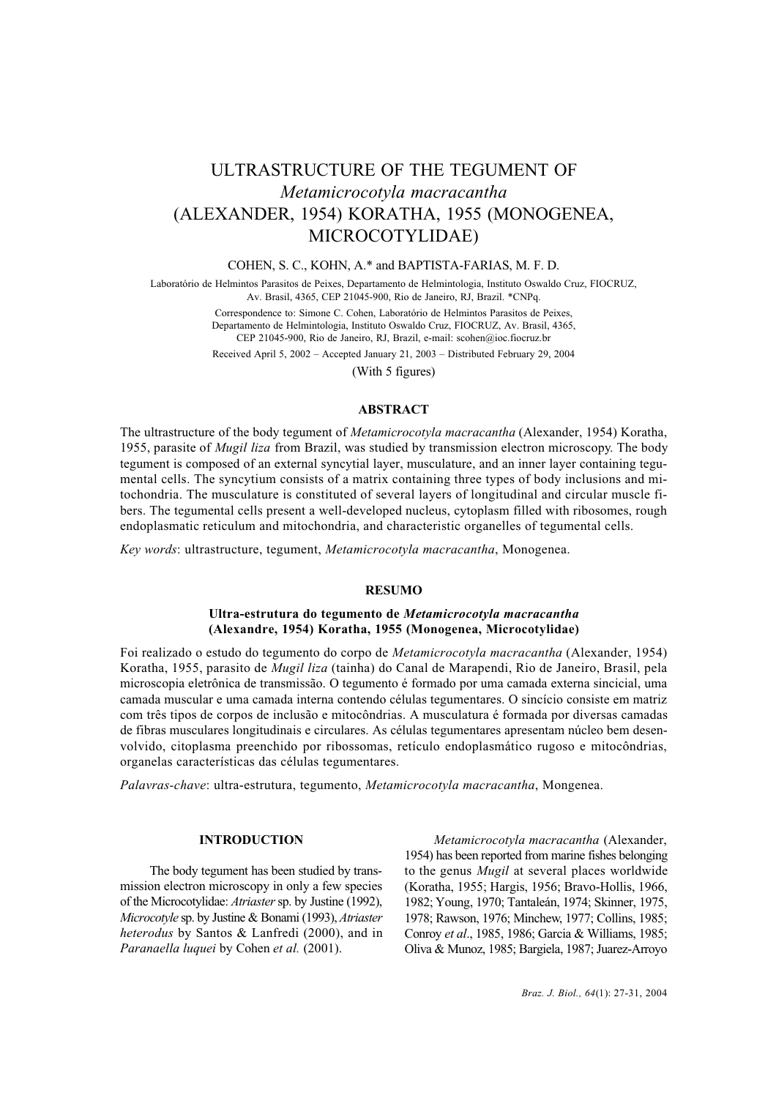# ULTRASTRUCTURE OF THE TEGUMENT OF *Metamicrocotyla macracantha* (ALEXANDER, 1954) KORATHA, 1955 (MONOGENEA, MICROCOTYLIDAE)

## COHEN, S. C., KOHN, A.\* and BAPTISTA-FARIAS, M. F. D.

Laboratório de Helmintos Parasitos de Peixes, Departamento de Helmintologia, Instituto Oswaldo Cruz, FIOCRUZ, Av. Brasil, 4365, CEP 21045-900, Rio de Janeiro, RJ, Brazil. \*CNPq.

> Correspondence to: Simone C. Cohen, Laboratório de Helmintos Parasitos de Peixes, Departamento de Helmintologia, Instituto Oswaldo Cruz, FIOCRUZ, Av. Brasil, 4365, CEP 21045-900, Rio de Janeiro, RJ, Brazil, e-mail: scohen@ioc.fiocruz.br

> Received April 5, 2002 – Accepted January 21, 2003 – Distributed February 29, 2004

(With 5 figures)

## **ABSTRACT**

The ultrastructure of the body tegument of *Metamicrocotyla macracantha* (Alexander, 1954) Koratha, 1955, parasite of *Mugil liza* from Brazil, was studied by transmission electron microscopy. The body tegument is composed of an external syncytial layer, musculature, and an inner layer containing tegumental cells. The syncytium consists of a matrix containing three types of body inclusions and mitochondria. The musculature is constituted of several layers of longitudinal and circular muscle fibers. The tegumental cells present a well-developed nucleus, cytoplasm filled with ribosomes, rough endoplasmatic reticulum and mitochondria, and characteristic organelles of tegumental cells.

*Key words*: ultrastructure, tegument, *Metamicrocotyla macracantha*, Monogenea.

# **RESUMO**

# **Ultra-estrutura do tegumento de** *Metamicrocotyla macracantha* **(Alexandre, 1954) Koratha, 1955 (Monogenea, Microcotylidae)**

Foi realizado o estudo do tegumento do corpo de *Metamicrocotyla macracantha* (Alexander, 1954) Koratha, 1955, parasito de *Mugil liza* (tainha) do Canal de Marapendi, Rio de Janeiro, Brasil, pela microscopia eletrônica de transmissão. O tegumento é formado por uma camada externa sincicial, uma camada muscular e uma camada interna contendo células tegumentares. O sincício consiste em matriz com três tipos de corpos de inclusão e mitocôndrias. A musculatura é formada por diversas camadas de fibras musculares longitudinais e circulares. As células tegumentares apresentam núcleo bem desenvolvido, citoplasma preenchido por ribossomas, retículo endoplasmático rugoso e mitocôndrias, organelas características das células tegumentares.

*Palavras-chave*: ultra-estrutura, tegumento, *Metamicrocotyla macracantha*, Mongenea.

## **INTRODUCTION**

The body tegument has been studied by transmission electron microscopy in only a few species of the Microcotylidae: *Atriaster* sp. by Justine (1992), *Microcotyle* sp. by Justine & Bonami (1993), *Atriaster heterodus* by Santos & Lanfredi (2000), and in *Paranaella luquei* by Cohen *et al.* (2001).

*Metamicrocotyla macracantha* (Alexander, 1954) has been reported from marine fishes belonging to the genus *Mugil* at several places worldwide (Koratha, 1955; Hargis, 1956; Bravo-Hollis, 1966, 1982; Young, 1970; Tantaleán, 1974; Skinner, 1975, 1978; Rawson, 1976; Minchew, 1977; Collins, 1985; Conroy *et al*., 1985, 1986; Garcia & Williams, 1985; Oliva & Munoz, 1985; Bargiela, 1987; Juarez-Arroyo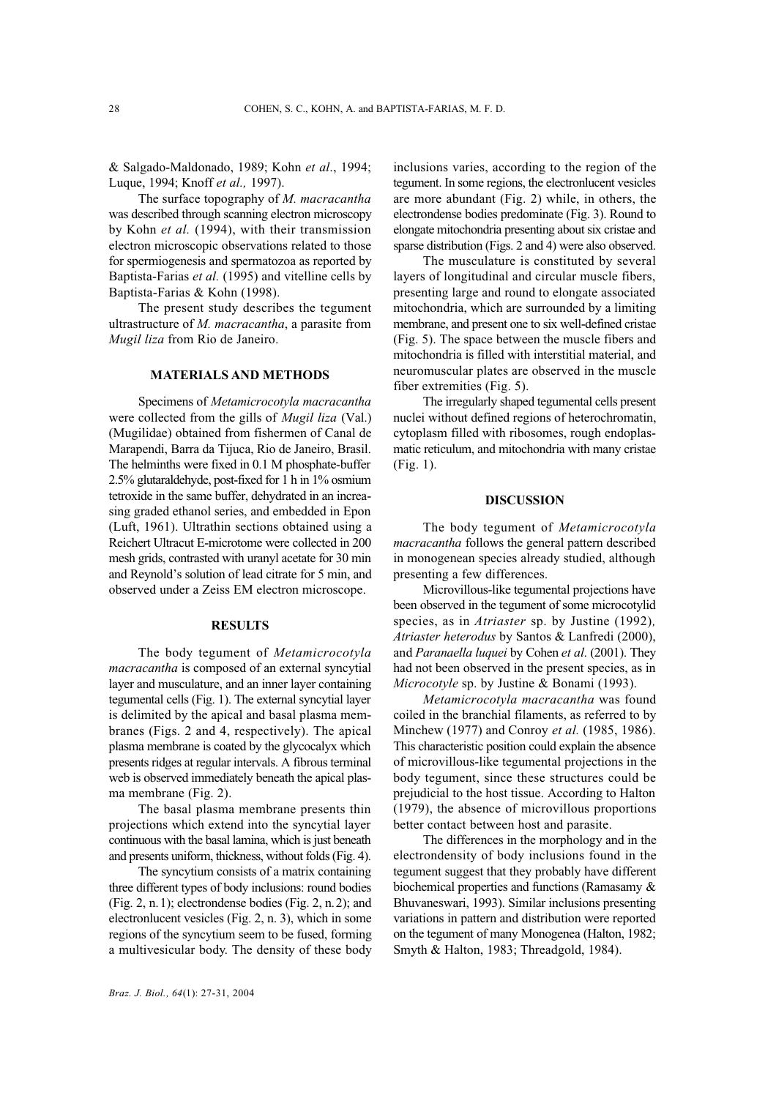& Salgado-Maldonado, 1989; Kohn *et al*., 1994; Luque, 1994; Knoff *et al.,* 1997).

The surface topography of *M. macracantha* was described through scanning electron microscopy by Kohn *et al.* (1994), with their transmission electron microscopic observations related to those for spermiogenesis and spermatozoa as reported by Baptista-Farias *et al.* (1995) and vitelline cells by Baptista-Farias & Kohn (1998).

The present study describes the tegument ultrastructure of *M. macracantha*, a parasite from *Mugil liza* from Rio de Janeiro.

#### **MATERIALS AND METHODS**

Specimens of *Metamicrocotyla macracantha* were collected from the gills of *Mugil liza* (Val.) (Mugilidae) obtained from fishermen of Canal de Marapendi, Barra da Tijuca, Rio de Janeiro, Brasil. The helminths were fixed in 0.1 M phosphate-buffer 2.5% glutaraldehyde, post-fixed for 1 h in 1% osmium tetroxide in the same buffer, dehydrated in an increasing graded ethanol series, and embedded in Epon (Luft, 1961). Ultrathin sections obtained using a Reichert Ultracut E-microtome were collected in 200 mesh grids, contrasted with uranyl acetate for 30 min and Reynold's solution of lead citrate for 5 min, and observed under a Zeiss EM electron microscope.

#### **RESULTS**

The body tegument of *Metamicrocotyla macracantha* is composed of an external syncytial layer and musculature, and an inner layer containing tegumental cells (Fig. 1). The external syncytial layer is delimited by the apical and basal plasma membranes (Figs. 2 and 4, respectively). The apical plasma membrane is coated by the glycocalyx which presents ridges at regular intervals. A fibrous terminal web is observed immediately beneath the apical plasma membrane (Fig. 2).

The basal plasma membrane presents thin projections which extend into the syncytial layer continuous with the basal lamina, which is just beneath and presents uniform, thickness, without folds (Fig. 4).

The syncytium consists of a matrix containing three different types of body inclusions: round bodies (Fig. 2, n.1); electrondense bodies (Fig. 2, n.2); and electronlucent vesicles (Fig. 2, n. 3), which in some regions of the syncytium seem to be fused, forming a multivesicular body. The density of these body inclusions varies, according to the region of the tegument. In some regions, the electronlucent vesicles are more abundant (Fig. 2) while, in others, the electrondense bodies predominate (Fig. 3). Round to elongate mitochondria presenting about six cristae and sparse distribution (Figs. 2 and 4) were also observed.

The musculature is constituted by several layers of longitudinal and circular muscle fibers, presenting large and round to elongate associated mitochondria, which are surrounded by a limiting membrane, and present one to six well-defined cristae (Fig. 5). The space between the muscle fibers and mitochondria is filled with interstitial material, and neuromuscular plates are observed in the muscle fiber extremities (Fig. 5).

The irregularly shaped tegumental cells present nuclei without defined regions of heterochromatin, cytoplasm filled with ribosomes, rough endoplasmatic reticulum, and mitochondria with many cristae (Fig. 1).

## **DISCUSSION**

The body tegument of *Metamicrocotyla macracantha* follows the general pattern described in monogenean species already studied, although presenting a few differences.

Microvillous-like tegumental projections have been observed in the tegument of some microcotylid species, as in *Atriaster* sp. by Justine (1992)*, Atriaster heterodus* by Santos & Lanfredi (2000), and *Paranaella luquei* by Cohen *et al*. (2001). They had not been observed in the present species, as in *Microcotyle* sp. by Justine & Bonami (1993).

*Metamicrocotyla macracantha* was found coiled in the branchial filaments, as referred to by Minchew (1977) and Conroy *et al.* (1985, 1986). This characteristic position could explain the absence of microvillous-like tegumental projections in the body tegument, since these structures could be prejudicial to the host tissue. According to Halton (1979), the absence of microvillous proportions better contact between host and parasite.

The differences in the morphology and in the electrondensity of body inclusions found in the tegument suggest that they probably have different biochemical properties and functions (Ramasamy & Bhuvaneswari, 1993). Similar inclusions presenting variations in pattern and distribution were reported on the tegument of many Monogenea (Halton, 1982; Smyth & Halton, 1983; Threadgold, 1984).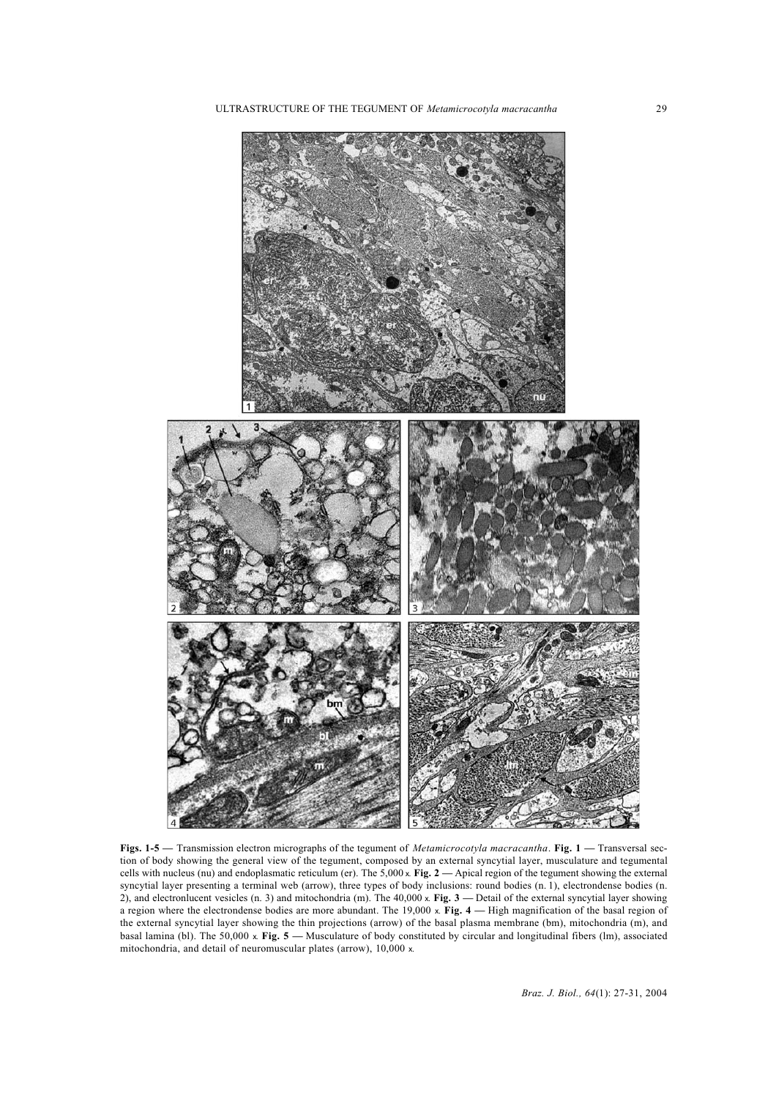

**Figs. 1-5 —** Transmission electron micrographs of the tegument of *Metamicrocotyla macracantha*. **Fig. 1 —** Transversal section of body showing the general view of the tegument, composed by an external syncytial layer, musculature and tegumental cells with nucleus (nu) and endoplasmatic reticulum (er). The 5,000 x. **Fig. 2 —** Apical region of the tegument showing the external syncytial layer presenting a terminal web (arrow), three types of body inclusions: round bodies (n. 1), electrondense bodies (n. 2), and electronlucent vesicles (n. 3) and mitochondria (m). The 40,000 x. **Fig. 3** — Detail of the external syncytial layer showing a region where the electrondense bodies are more abundant. The 19,000 x. **Fig. 4 —** High magnification of the basal region of the external syncytial layer showing the thin projections (arrow) of the basal plasma membrane (bm), mitochondria (m), and basal lamina (bl). The 50,000 x. **Fig. 5 —** Musculature of body constituted by circular and longitudinal fibers (lm), associated mitochondria, and detail of neuromuscular plates (arrow), 10,000 x.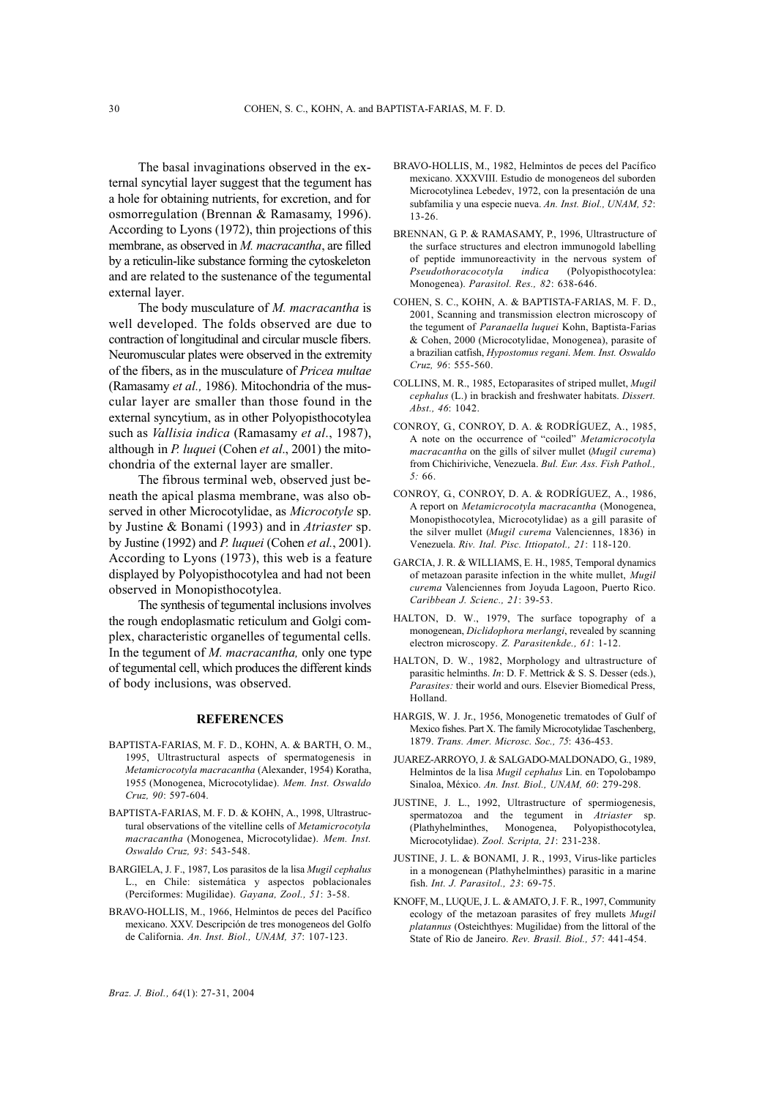The basal invaginations observed in the external syncytial layer suggest that the tegument has a hole for obtaining nutrients, for excretion, and for osmorregulation (Brennan & Ramasamy, 1996). According to Lyons (1972), thin projections of this membrane, as observed in *M. macracantha*, are filled by a reticulin-like substance forming the cytoskeleton and are related to the sustenance of the tegumental external layer.

The body musculature of *M. macracantha* is well developed. The folds observed are due to contraction of longitudinal and circular muscle fibers. Neuromuscular plates were observed in the extremity of the fibers, as in the musculature of *Pricea multae* (Ramasamy *et al.,* 1986). Mitochondria of the muscular layer are smaller than those found in the external syncytium, as in other Polyopisthocotylea such as *Vallisia indica* (Ramasamy *et al*., 1987), although in *P. luquei* (Cohen *et al*., 2001) the mitochondria of the external layer are smaller.

The fibrous terminal web, observed just beneath the apical plasma membrane, was also observed in other Microcotylidae, as *Microcotyle* sp. by Justine & Bonami (1993) and in *Atriaster* sp. by Justine (1992) and *P. luquei* (Cohen *et al.*, 2001). According to Lyons (1973), this web is a feature displayed by Polyopisthocotylea and had not been observed in Monopisthocotylea.

The synthesis of tegumental inclusions involves the rough endoplasmatic reticulum and Golgi complex, characteristic organelles of tegumental cells. In the tegument of *M. macracantha,* only one type of tegumental cell, which produces the different kinds of body inclusions, was observed.

## **REFERENCES**

- BAPTISTA-FARIAS, M. F. D., KOHN, A. & BARTH, O. M., 1995, Ultrastructural aspects of spermatogenesis in *Metamicrocotyla macracantha* (Alexander, 1954) Koratha, 1955 (Monogenea, Microcotylidae). *Mem. Inst. Oswaldo Cruz, 90*: 597-604.
- BAPTISTA-FARIAS, M. F. D. & KOHN, A., 1998, Ultrastructural observations of the vitelline cells of *Metamicrocotyla macracantha* (Monogenea, Microcotylidae). *Mem. Inst. Oswaldo Cruz, 93*: 543-548.
- BARGIELA, J. F., 1987, Los parasitos de la lisa *Mugil cephalus* L., en Chile: sistemática y aspectos poblacionales (Perciformes: Mugilidae). *Gayana, Zool., 51*: 3-58.
- BRAVO-HOLLIS, M., 1966, Helmintos de peces del Pacífico mexicano. XXV. Descripción de tres monogeneos del Golfo de California. *An. Inst. Biol., UNAM, 37*: 107-123.
- BRAVO-HOLLIS, M., 1982, Helmintos de peces del Pacífico mexicano. XXXVIII. Estudio de monogeneos del suborden Microcotylinea Lebedev, 1972, con la presentación de una subfamilia y una especie nueva. *An. Inst. Biol., UNAM, 52*: 13-26.
- BRENNAN, G. P. & RAMASAMY, P., 1996, Ultrastructure of the surface structures and electron immunogold labelling of peptide immunoreactivity in the nervous system of *Pseudothoracocotyla indica* (Polyopisthocotylea: Monogenea). *Parasitol. Res., 82*: 638-646.
- COHEN, S. C., KOHN, A. & BAPTISTA-FARIAS, M. F. D., 2001, Scanning and transmission electron microscopy of the tegument of *Paranaella luquei* Kohn, Baptista-Farias & Cohen, 2000 (Microcotylidae, Monogenea), parasite of a brazilian catfish, *Hypostomus regani*. *Mem. Inst. Oswaldo Cruz, 96*: 555-560.
- COLLINS, M. R., 1985, Ectoparasites of striped mullet, *Mugil cephalus* (L.) in brackish and freshwater habitats. *Dissert. Abst., 46*: 1042.
- CONROY, G., CONROY, D. A. & RODRÍGUEZ, A., 1985, A note on the occurrence of "coiled" *Metamicrocotyla macracantha* on the gills of silver mullet (*Mugil curema*) from Chichiriviche, Venezuela. *Bul. Eur. Ass. Fish Pathol., 5:* 66.
- CONROY, G., CONROY, D. A. & RODRÍGUEZ, A., 1986, A report on *Metamicrocotyla macracantha* (Monogenea, Monopisthocotylea, Microcotylidae) as a gill parasite of the silver mullet (*Mugil curema* Valenciennes, 1836) in Venezuela. *Riv. Ital. Pisc. Ittiopatol., 21*: 118-120.
- GARCIA, J. R. & WILLIAMS, E. H., 1985, Temporal dynamics of metazoan parasite infection in the white mullet, *Mugil curema* Valenciennes from Joyuda Lagoon, Puerto Rico. *Caribbean J. Scienc., 21*: 39-53.
- HALTON, D. W., 1979, The surface topography of a monogenean, *Diclidophora merlangi*, revealed by scanning electron microscopy. *Z. Parasitenkde., 61*: 1-12.
- HALTON, D. W., 1982, Morphology and ultrastructure of parasitic helminths. *In*: D. F. Mettrick & S. S. Desser (eds.), *Parasites:* their world and ours. Elsevier Biomedical Press, Holland.
- HARGIS, W. J. Jr., 1956, Monogenetic trematodes of Gulf of Mexico fishes. Part X. The family Microcotylidae Taschenberg, 1879. *Trans. Amer. Microsc. Soc., 75*: 436-453.
- JUAREZ-ARROYO, J. & SALGADO-MALDONADO, G., 1989, Helmintos de la lisa *Mugil cephalus* Lin. en Topolobampo Sinaloa, México. *An. Inst. Biol., UNAM, 60*: 279-298.
- JUSTINE, J. L., 1992, Ultrastructure of spermiogenesis, spermatozoa and the tegument in *Atriaster* sp. (Plathyhelminthes, Monogenea, Polyopisthocotylea, Microcotylidae). *Zool. Scripta, 21*: 231-238.
- JUSTINE, J. L. & BONAMI, J. R., 1993, Virus-like particles in a monogenean (Plathyhelminthes) parasitic in a marine fish. *Int. J. Parasitol., 23*: 69-75.
- KNOFF, M., LUQUE, J. L. & AMATO, J. F. R., 1997, Community ecology of the metazoan parasites of frey mullets *Mugil platannus* (Osteichthyes: Mugilidae) from the littoral of the State of Rio de Janeiro. *Rev. Brasil. Biol., 57*: 441-454.